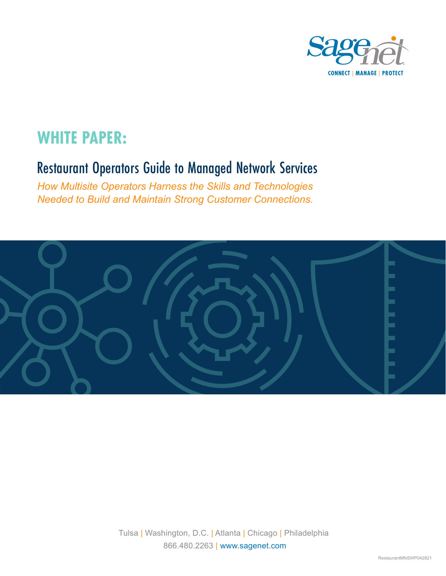

# **WHITE PAPER:**

## Restaurant Operators Guide to Managed Network Services

*How Multisite Operators Harness the Skills and Technologies Needed to Build and Maintain Strong Customer Connections.*



Tulsa | Washington, D.C. | Atlanta | Chicago | Philadelphia 866.480.2263 | www.sagenet.com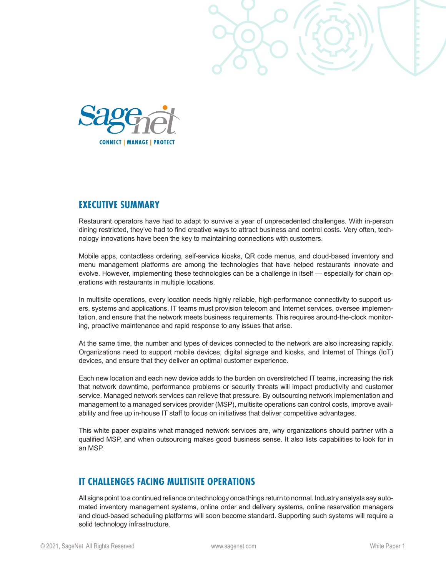



#### **EXECUTIVE SUMMARY**

Restaurant operators have had to adapt to survive a year of unprecedented challenges. With in-person dining restricted, they've had to find creative ways to attract business and control costs. Very often, technology innovations have been the key to maintaining connections with customers.

Mobile apps, contactless ordering, self-service kiosks, QR code menus, and cloud-based inventory and menu management platforms are among the technologies that have helped restaurants innovate and evolve. However, implementing these technologies can be a challenge in itself — especially for chain operations with restaurants in multiple locations.

In multisite operations, every location needs highly reliable, high-performance connectivity to support users, systems and applications. IT teams must provision telecom and Internet services, oversee implementation, and ensure that the network meets business requirements. This requires around-the-clock monitoring, proactive maintenance and rapid response to any issues that arise.

At the same time, the number and types of devices connected to the network are also increasing rapidly. Organizations need to support mobile devices, digital signage and kiosks, and Internet of Things (IoT) devices, and ensure that they deliver an optimal customer experience.

Each new location and each new device adds to the burden on overstretched IT teams, increasing the risk that network downtime, performance problems or security threats will impact productivity and customer service. Managed network services can relieve that pressure. By outsourcing network implementation and management to a managed services provider (MSP), multisite operations can control costs, improve availability and free up in-house IT staff to focus on initiatives that deliver competitive advantages.

This white paper explains what managed network services are, why organizations should partner with a qualified MSP, and when outsourcing makes good business sense. It also lists capabilities to look for in an MSP.

### **IT CHALLENGES FACING MULTISITE OPERATIONS**

All signs point to a continued reliance on technology once things return to normal. Industry analysts say automated inventory management systems, online order and delivery systems, online reservation managers and cloud-based scheduling platforms will soon become standard. Supporting such systems will require a solid technology infrastructure.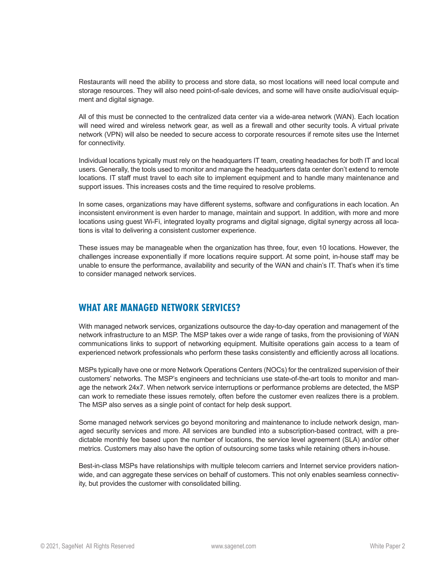Restaurants will need the ability to process and store data, so most locations will need local compute and storage resources. They will also need point-of-sale devices, and some will have onsite audio/visual equipment and digital signage.

All of this must be connected to the centralized data center via a wide-area network (WAN). Each location will need wired and wireless network gear, as well as a firewall and other security tools. A virtual private network (VPN) will also be needed to secure access to corporate resources if remote sites use the Internet for connectivity.

Individual locations typically must rely on the headquarters IT team, creating headaches for both IT and local users. Generally, the tools used to monitor and manage the headquarters data center don't extend to remote locations. IT staff must travel to each site to implement equipment and to handle many maintenance and support issues. This increases costs and the time required to resolve problems.

In some cases, organizations may have different systems, software and configurations in each location. An inconsistent environment is even harder to manage, maintain and support. In addition, with more and more locations using guest Wi-Fi, integrated loyalty programs and digital signage, digital synergy across all locations is vital to delivering a consistent customer experience.

These issues may be manageable when the organization has three, four, even 10 locations. However, the challenges increase exponentially if more locations require support. At some point, in-house staff may be unable to ensure the performance, availability and security of the WAN and chain's IT. That's when it's time to consider managed network services.

### **WHAT ARE MANAGED NETWORK SERVICES?**

With managed network services, organizations outsource the day-to-day operation and management of the network infrastructure to an MSP. The MSP takes over a wide range of tasks, from the provisioning of WAN communications links to support of networking equipment. Multisite operations gain access to a team of experienced network professionals who perform these tasks consistently and efficiently across all locations.

MSPs typically have one or more Network Operations Centers (NOCs) for the centralized supervision of their customers' networks. The MSP's engineers and technicians use state-of-the-art tools to monitor and manage the network 24x7. When network service interruptions or performance problems are detected, the MSP can work to remediate these issues remotely, often before the customer even realizes there is a problem. The MSP also serves as a single point of contact for help desk support.

Some managed network services go beyond monitoring and maintenance to include network design, managed security services and more. All services are bundled into a subscription-based contract, with a predictable monthly fee based upon the number of locations, the service level agreement (SLA) and/or other metrics. Customers may also have the option of outsourcing some tasks while retaining others in-house.

Best-in-class MSPs have relationships with multiple telecom carriers and Internet service providers nationwide, and can aggregate these services on behalf of customers. This not only enables seamless connectivity, but provides the customer with consolidated billing.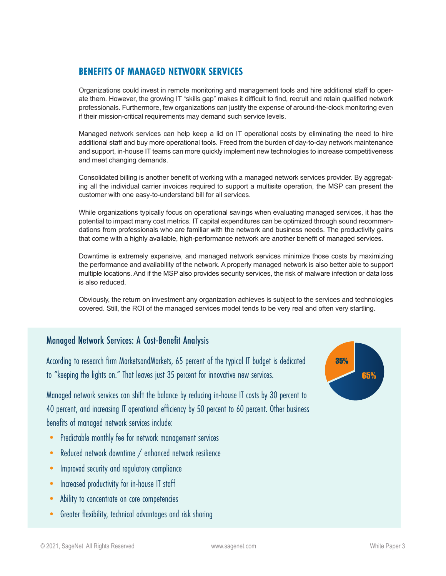## **BENEFITS OF MANAGED NETWORK SERVICES**

Organizations could invest in remote monitoring and management tools and hire additional staff to operate them. However, the growing IT "skills gap" makes it difficult to find, recruit and retain qualified network professionals. Furthermore, few organizations can justify the expense of around-the-clock monitoring even if their mission-critical requirements may demand such service levels.

Managed network services can help keep a lid on IT operational costs by eliminating the need to hire additional staff and buy more operational tools. Freed from the burden of day-to-day network maintenance and support, in-house IT teams can more quickly implement new technologies to increase competitiveness and meet changing demands.

Consolidated billing is another benefit of working with a managed network services provider. By aggregating all the individual carrier invoices required to support a multisite operation, the MSP can present the customer with one easy-to-understand bill for all services.

While organizations typically focus on operational savings when evaluating managed services, it has the potential to impact many cost metrics. IT capital expenditures can be optimized through sound recommendations from professionals who are familiar with the network and business needs. The productivity gains that come with a highly available, high-performance network are another benefit of managed services.

Downtime is extremely expensive, and managed network services minimize those costs by maximizing the performance and availability of the network. A properly managed network is also better able to support multiple locations. And if the MSP also provides security services, the risk of malware infection or data loss is also reduced.

Obviously, the return on investment any organization achieves is subject to the services and technologies covered. Still, the ROI of the managed services model tends to be very real and often very startling.

### Managed Network Services: A Cost-Benefit Analysis

According to research firm MarketsandMarkets, 65 percent of the typical IT budget is dedicated to "keeping the lights on." That leaves just 35 percent for innovative new services.

Managed network services can shift the balance by reducing in-house IT costs by 30 percent to 40 percent, and increasing IT operational efficiency by 50 percent to 60 percent. Other business benefits of managed network services include:

- Predictable monthly fee for network management services
- Reduced network downtime / enhanced network resilience
- Improved security and regulatory compliance
- Increased productivity for in-house IT staff
- Ability to concentrate on core competencies
- Greater flexibility, technical advantages and risk sharing

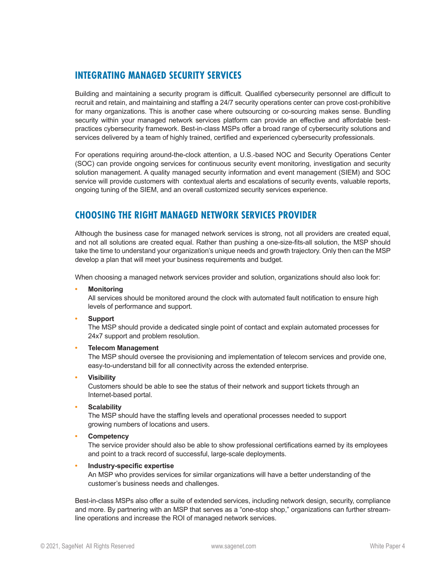### **INTEGRATING MANAGED SECURITY SERVICES**

Building and maintaining a security program is difficult. Qualified cybersecurity personnel are difficult to recruit and retain, and maintaining and staffing a 24/7 security operations center can prove cost-prohibitive for many organizations. This is another case where outsourcing or co-sourcing makes sense. Bundling security within your managed network services platform can provide an effective and affordable bestpractices cybersecurity framework. Best-in-class MSPs offer a broad range of cybersecurity solutions and services delivered by a team of highly trained, certified and experienced cybersecurity professionals.

For operations requiring around-the-clock attention, a U.S.-based NOC and Security Operations Center (SOC) can provide ongoing services for continuous security event monitoring, investigation and security solution management. A quality managed security information and event management (SIEM) and SOC service will provide customers with contextual alerts and escalations of security events, valuable reports, ongoing tuning of the SIEM, and an overall customized security services experience.

### **CHOOSING THE RIGHT MANAGED NETWORK SERVICES PROVIDER**

Although the business case for managed network services is strong, not all providers are created equal, and not all solutions are created equal. Rather than pushing a one-size-fits-all solution, the MSP should take the time to understand your organization's unique needs and growth trajectory. Only then can the MSP develop a plan that will meet your business requirements and budget.

When choosing a managed network services provider and solution, organizations should also look for:

**• Monitoring** 

All services should be monitored around the clock with automated fault notification to ensure high levels of performance and support.

**• Support**

The MSP should provide a dedicated single point of contact and explain automated processes for 24x7 support and problem resolution.

#### **• Telecom Management**

The MSP should oversee the provisioning and implementation of telecom services and provide one, easy-to-understand bill for all connectivity across the extended enterprise.

**• Visibility**

Customers should be able to see the status of their network and support tickets through an Internet-based portal.

**• Scalability** 

The MSP should have the staffing levels and operational processes needed to support growing numbers of locations and users.

**• Competency** 

The service provider should also be able to show professional certifications earned by its employees and point to a track record of successful, large-scale deployments.

#### **• Industry-specific expertise**

An MSP who provides services for similar organizations will have a better understanding of the customer's business needs and challenges.

Best-in-class MSPs also offer a suite of extended services, including network design, security, compliance and more. By partnering with an MSP that serves as a "one-stop shop," organizations can further streamline operations and increase the ROI of managed network services.